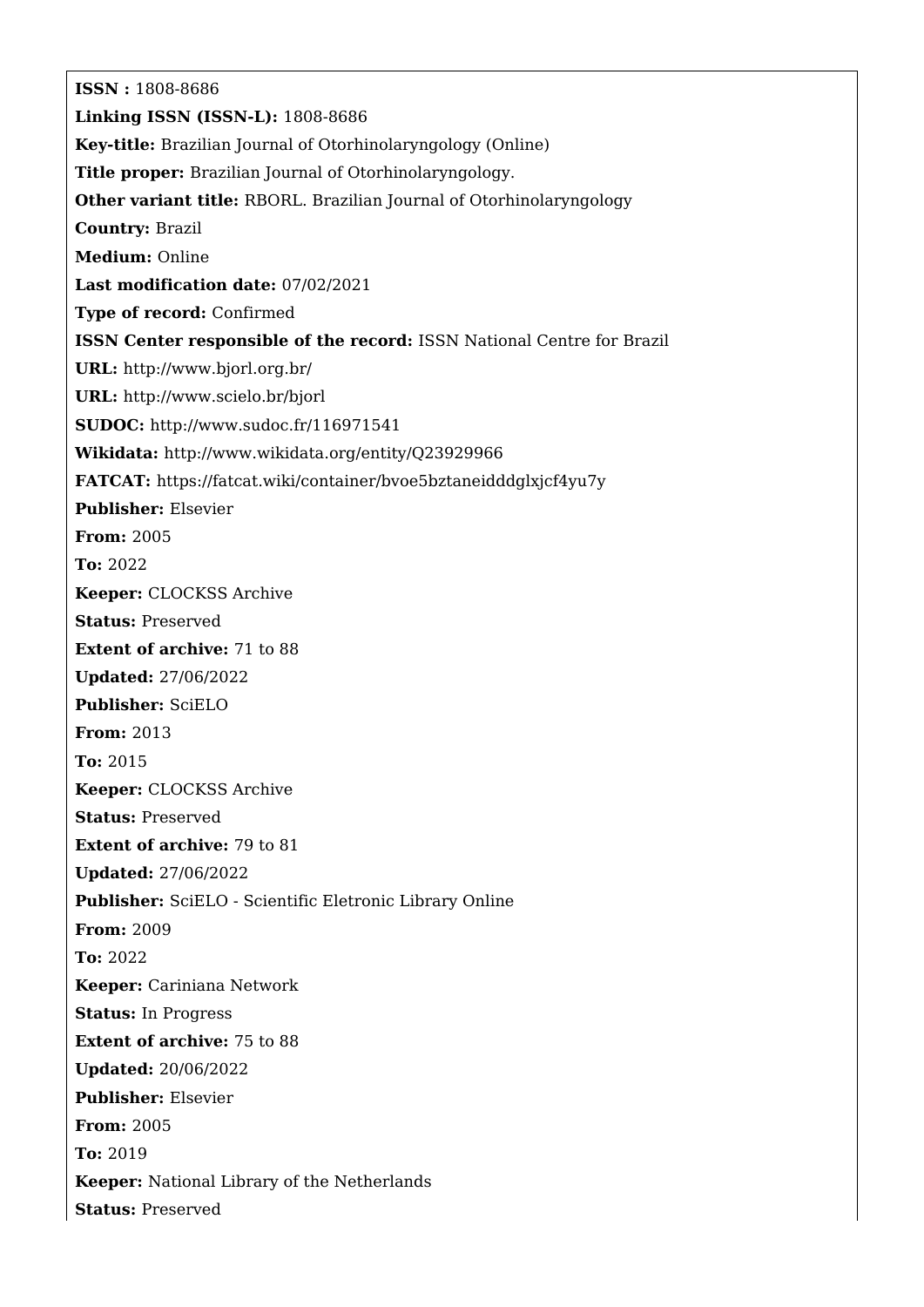**ISSN :** 1808-8686 **Linking ISSN (ISSN-L):** 1808-8686 **Key-title:** Brazilian Journal of Otorhinolaryngology (Online) **Title proper:** Brazilian Journal of Otorhinolaryngology. **Other variant title:** RBORL. Brazilian Journal of Otorhinolaryngology **Country:** Brazil **Medium:** Online **Last modification date:** 07/02/2021 **Type of record:** Confirmed **ISSN Center responsible of the record:** ISSN National Centre for Brazil **URL:** <http://www.bjorl.org.br/> **URL:** <http://www.scielo.br/bjorl> **SUDOC:** <http://www.sudoc.fr/116971541> **Wikidata:** <http://www.wikidata.org/entity/Q23929966> **FATCAT:** <https://fatcat.wiki/container/bvoe5bztaneidddglxjcf4yu7y> **Publisher:** Elsevier **From:** 2005 **To:** 2022 **Keeper:** CLOCKSS Archive **Status:** Preserved **Extent of archive:** 71 to 88 **Updated:** 27/06/2022 **Publisher:** SciELO **From:** 2013 **To:** 2015 **Keeper:** CLOCKSS Archive **Status:** Preserved **Extent of archive:** 79 to 81 **Updated:** 27/06/2022 **Publisher:** SciELO - Scientific Eletronic Library Online **From:** 2009 **To:** 2022 **Keeper:** Cariniana Network **Status:** In Progress **Extent of archive:** 75 to 88 **Updated:** 20/06/2022 **Publisher:** Elsevier **From:** 2005 **To:** 2019 **Keeper:** National Library of the Netherlands **Status:** Preserved